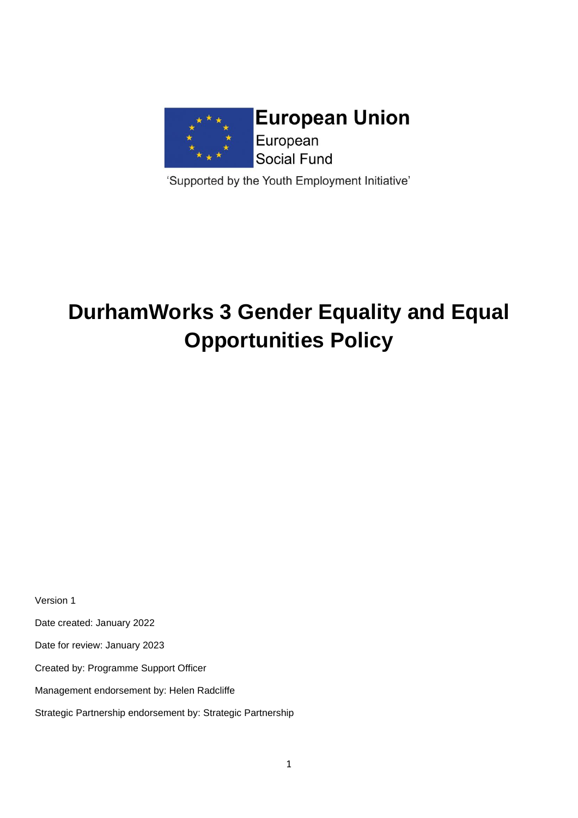

'Supported by the Youth Employment Initiative'

# **DurhamWorks 3 Gender Equality and Equal Opportunities Policy**

Version 1

Date created: January 2022

Date for review: January 2023

Created by: Programme Support Officer

Management endorsement by: Helen Radcliffe

Strategic Partnership endorsement by: Strategic Partnership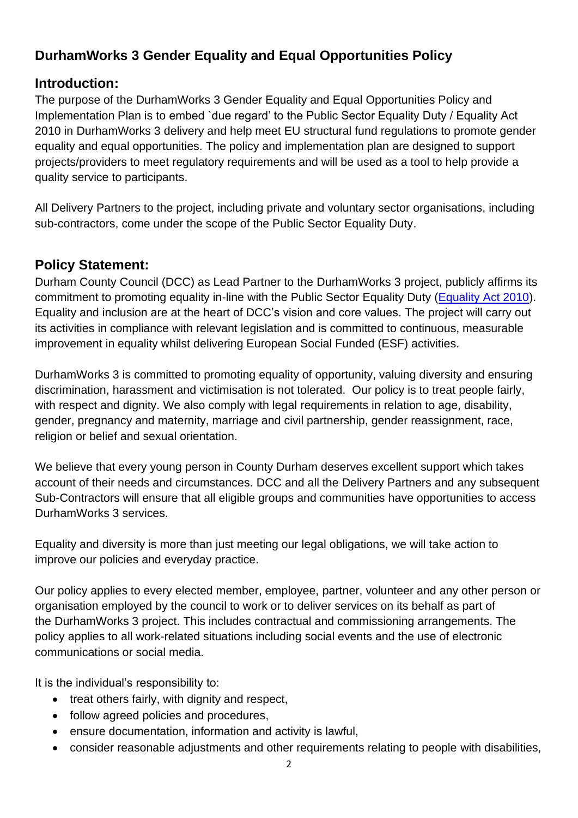# **DurhamWorks 3 Gender Equality and Equal Opportunities Policy**

#### **Introduction:**

The purpose of the DurhamWorks 3 Gender Equality and Equal Opportunities Policy and Implementation Plan is to embed `due regard' to the Public Sector Equality Duty / Equality Act 2010 in DurhamWorks 3 delivery and help meet EU structural fund regulations to promote gender equality and equal opportunities. The policy and implementation plan are designed to support projects/providers to meet regulatory requirements and will be used as a tool to help provide a quality service to participants.

All Delivery Partners to the project, including private and voluntary sector organisations, including sub-contractors, come under the scope of the Public Sector Equality Duty.

### **Policy Statement:**

Durham County Council (DCC) as Lead Partner to the DurhamWorks 3 project, publicly affirms its commitment to promoting equality in-line with the Public Sector Equality Duty [\(Equality Act 2010\)](http://www.equalityhumanrights.com/legal-and-policy/legislation/equality-act-2010). Equality and inclusion are at the heart of DCC's vision and core values. The project will carry out its activities in compliance with relevant legislation and is committed to continuous, measurable improvement in equality whilst delivering European Social Funded (ESF) activities.

DurhamWorks 3 is committed to promoting equality of opportunity, valuing diversity and ensuring discrimination, harassment and victimisation is not tolerated. Our policy is to treat people fairly, with respect and dignity. We also comply with legal requirements in relation to age, disability, gender, pregnancy and maternity, marriage and civil partnership, gender reassignment, race, religion or belief and sexual orientation.

We believe that every young person in County Durham deserves excellent support which takes account of their needs and circumstances. DCC and all the Delivery Partners and any subsequent Sub-Contractors will ensure that all eligible groups and communities have opportunities to access DurhamWorks 3 services.

Equality and diversity is more than just meeting our legal obligations, we will take action to improve our policies and everyday practice.

Our policy applies to every elected member, employee, partner, volunteer and any other person or organisation employed by the council to work or to deliver services on its behalf as part of the DurhamWorks 3 project. This includes contractual and commissioning arrangements. The policy applies to all work-related situations including social events and the use of electronic communications or social media.

It is the individual's responsibility to:

- treat others fairly, with dignity and respect,
- follow agreed policies and procedures,
- ensure documentation, information and activity is lawful,
- consider reasonable adjustments and other requirements relating to people with disabilities,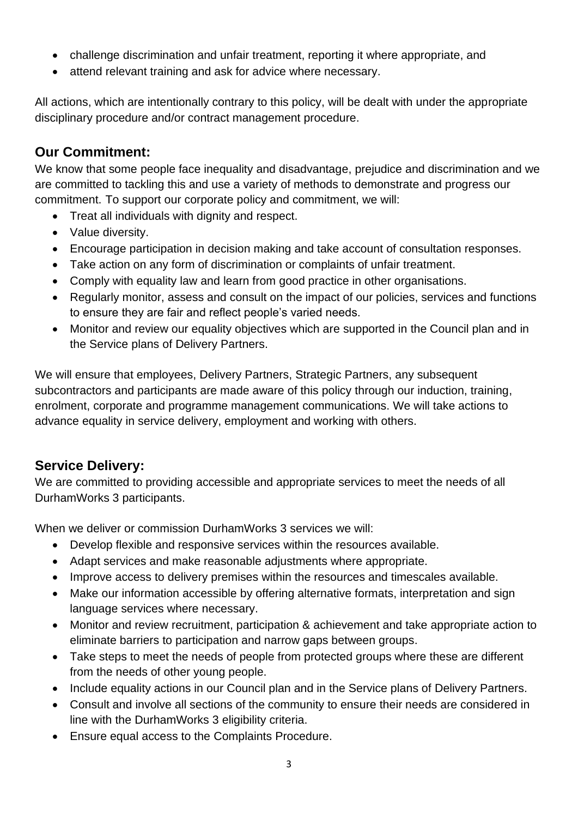- challenge discrimination and unfair treatment, reporting it where appropriate, and
- attend relevant training and ask for advice where necessary.

All actions, which are intentionally contrary to this policy, will be dealt with under the appropriate disciplinary procedure and/or contract management procedure.

## **Our Commitment:**

We know that some people face inequality and disadvantage, prejudice and discrimination and we are committed to tackling this and use a variety of methods to demonstrate and progress our commitment. To support our corporate policy and commitment, we will:

- Treat all individuals with dignity and respect.
- Value diversity.
- Encourage participation in decision making and take account of consultation responses.
- Take action on any form of discrimination or complaints of unfair treatment.
- Comply with equality law and learn from good practice in other organisations.
- Regularly monitor, assess and consult on the impact of our policies, services and functions to ensure they are fair and reflect people's varied needs.
- Monitor and review our equality objectives which are supported in the Council plan and in the Service plans of Delivery Partners.

We will ensure that employees, Delivery Partners, Strategic Partners, any subsequent subcontractors and participants are made aware of this policy through our induction, training, enrolment, corporate and programme management communications. We will take actions to advance equality in service delivery, employment and working with others.

### **Service Delivery:**

We are committed to providing accessible and appropriate services to meet the needs of all DurhamWorks 3 participants.

When we deliver or commission DurhamWorks 3 services we will:

- Develop flexible and responsive services within the resources available.
- Adapt services and make reasonable adjustments where appropriate.
- Improve access to delivery premises within the resources and timescales available.
- Make our information accessible by offering alternative formats, interpretation and sign language services where necessary.
- Monitor and review recruitment, participation & achievement and take appropriate action to eliminate barriers to participation and narrow gaps between groups.
- Take steps to meet the needs of people from protected groups where these are different from the needs of other young people.
- Include equality actions in our Council plan and in the Service plans of Delivery Partners.
- Consult and involve all sections of the community to ensure their needs are considered in line with the DurhamWorks 3 eligibility criteria.
- Ensure equal access to the Complaints Procedure.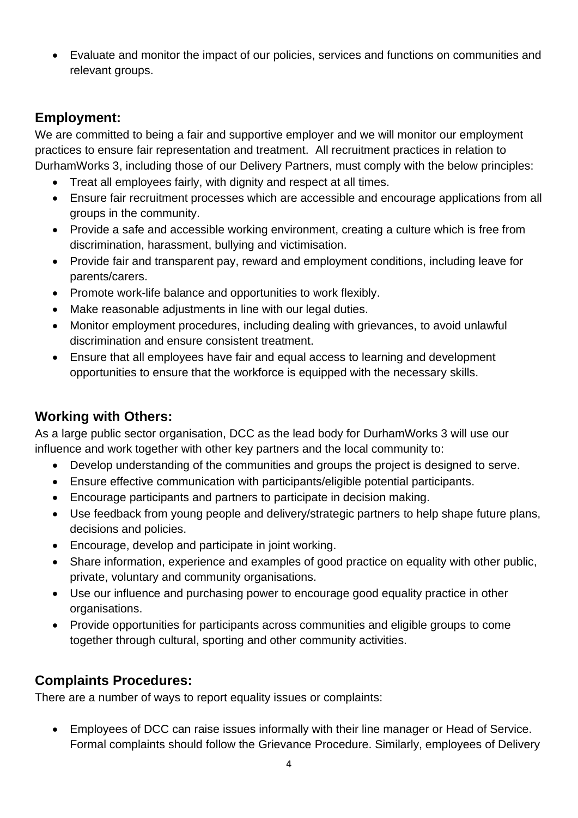• Evaluate and monitor the impact of our policies, services and functions on communities and relevant groups.

### **Employment:**

We are committed to being a fair and supportive employer and we will monitor our employment practices to ensure fair representation and treatment. All recruitment practices in relation to DurhamWorks 3, including those of our Delivery Partners, must comply with the below principles:

- Treat all employees fairly, with dignity and respect at all times.
- Ensure fair recruitment processes which are accessible and encourage applications from all groups in the community.
- Provide a safe and accessible working environment, creating a culture which is free from discrimination, harassment, bullying and victimisation.
- Provide fair and transparent pay, reward and employment conditions, including leave for parents/carers.
- Promote work-life balance and opportunities to work flexibly.
- Make reasonable adjustments in line with our legal duties.
- Monitor employment procedures, including dealing with grievances, to avoid unlawful discrimination and ensure consistent treatment.
- Ensure that all employees have fair and equal access to learning and development opportunities to ensure that the workforce is equipped with the necessary skills.

### **Working with Others:**

As a large public sector organisation, DCC as the lead body for DurhamWorks 3 will use our influence and work together with other key partners and the local community to:

- Develop understanding of the communities and groups the project is designed to serve.
- Ensure effective communication with participants/eligible potential participants.
- Encourage participants and partners to participate in decision making.
- Use feedback from young people and delivery/strategic partners to help shape future plans, decisions and policies.
- Encourage, develop and participate in joint working.
- Share information, experience and examples of good practice on equality with other public, private, voluntary and community organisations.
- Use our influence and purchasing power to encourage good equality practice in other organisations.
- Provide opportunities for participants across communities and eligible groups to come together through cultural, sporting and other community activities.

#### **Complaints Procedures:**

There are a number of ways to report equality issues or complaints:

• Employees of DCC can raise issues informally with their line manager or Head of Service. Formal complaints should follow the Grievance Procedure. Similarly, employees of Delivery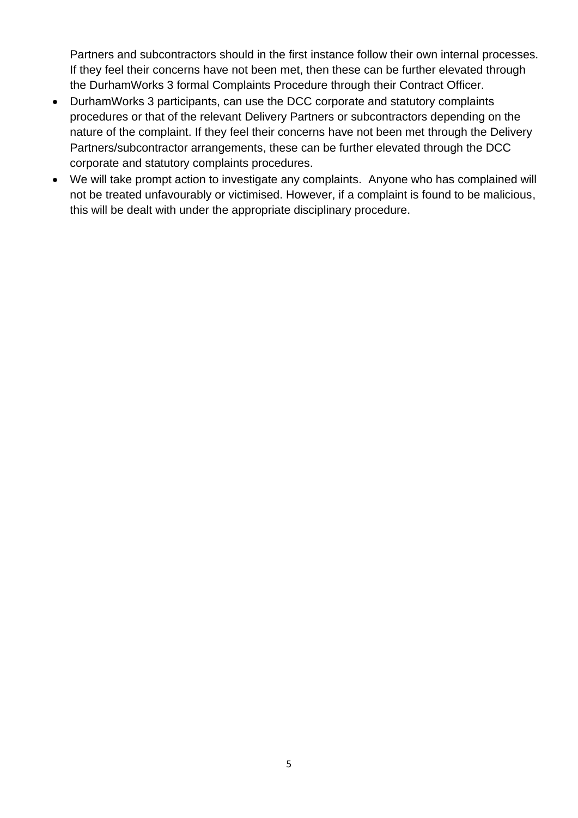Partners and subcontractors should in the first instance follow their own internal processes. If they feel their concerns have not been met, then these can be further elevated through the DurhamWorks 3 formal Complaints Procedure through their Contract Officer.

- DurhamWorks 3 participants, can use the DCC corporate and statutory complaints procedures or that of the relevant Delivery Partners or subcontractors depending on the nature of the complaint. If they feel their concerns have not been met through the Delivery Partners/subcontractor arrangements, these can be further elevated through the DCC corporate and statutory complaints procedures.
- We will take prompt action to investigate any complaints. Anyone who has complained will not be treated unfavourably or victimised. However, if a complaint is found to be malicious, this will be dealt with under the appropriate disciplinary procedure.